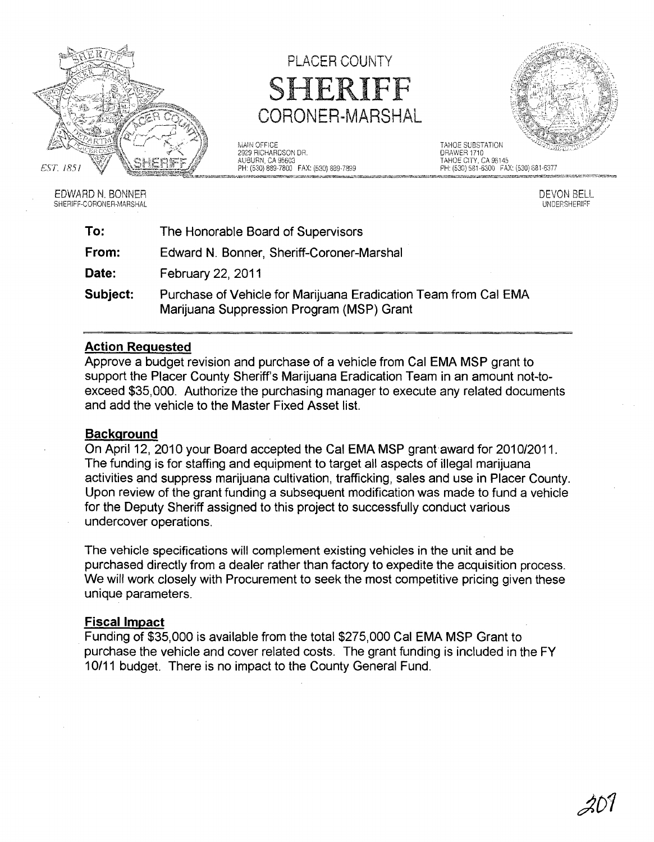

SHERIFF-CORONER-MARSHAL

## PLACER COUNTY SHERIFF CORONER-MARSHAL

MAIN OFFICE<br>1999 RICHARDSON DR. 1999 - TAHOE SUBSTATION ORAWER 1710 2929 R!CHARDSO~I OR, ORMIER 1710 AUBURN, CA 95603<br>PH: (530) 889-7800 FAX: (530) 889-7899



EDWARD N, BONNER DEVON BELL.<br>SHERIFF-CORONER-MARSHAL DEVON BELL. DEVON BELL BELL BELL BELL BELL BELL BERGET DEVON BELL. DINDERSHERIFF

| To:      | The Honorable Board of Supervisors                                                                           |  |  |  |  |  |  |  |  |
|----------|--------------------------------------------------------------------------------------------------------------|--|--|--|--|--|--|--|--|
| From:    | Edward N. Bonner, Sheriff-Coroner-Marshal                                                                    |  |  |  |  |  |  |  |  |
| Date:    | <b>February 22, 2011</b>                                                                                     |  |  |  |  |  |  |  |  |
| Subject: | Purchase of Vehicle for Marijuana Eradication Team from Cal EMA<br>Marijuana Suppression Program (MSP) Grant |  |  |  |  |  |  |  |  |

## **Action Requested**

Approve a budget revision and purchase of a vehicle from Cal EMA MSP grant to support the Placer County Sheriff's Marijuana Eradication Team in an amount not-toexceed \$35,000. Authorize the purchasing manager to execute any related documents and add the vehicle to the Master Fixed Asset list.

## **Background**

On April 12, 2010 your Board accepted the Cal EMA MSP grant award for 2010/2011. The funding is for staffing and equipment to target all aspects of illegal marijuana activities and suppress marijuana cultivation, trafficking, sales and use in Placer County. Upon review of the grant funding a subsequent modification was made to fund a vehicle for the Deputy Sheriff assigned to this project to successfully conduct various undercover operations.

The vehicle specifications will complement existing vehicles in the unit and be purchased directly from a dealer rather than factory to expedite the acquisition process. We will work closely with Procurement to seek the most competitive pricing given these unique parameters.

## **Fiscal Impact**

Funding of \$35,000 is available from the total \$275,000 Cal EMA MSP Grant to purchase the vehicle and cover related costs. The grant funding is included in the FY 10/11 budget. There is no impact to the County General Fund.

*jlD1*